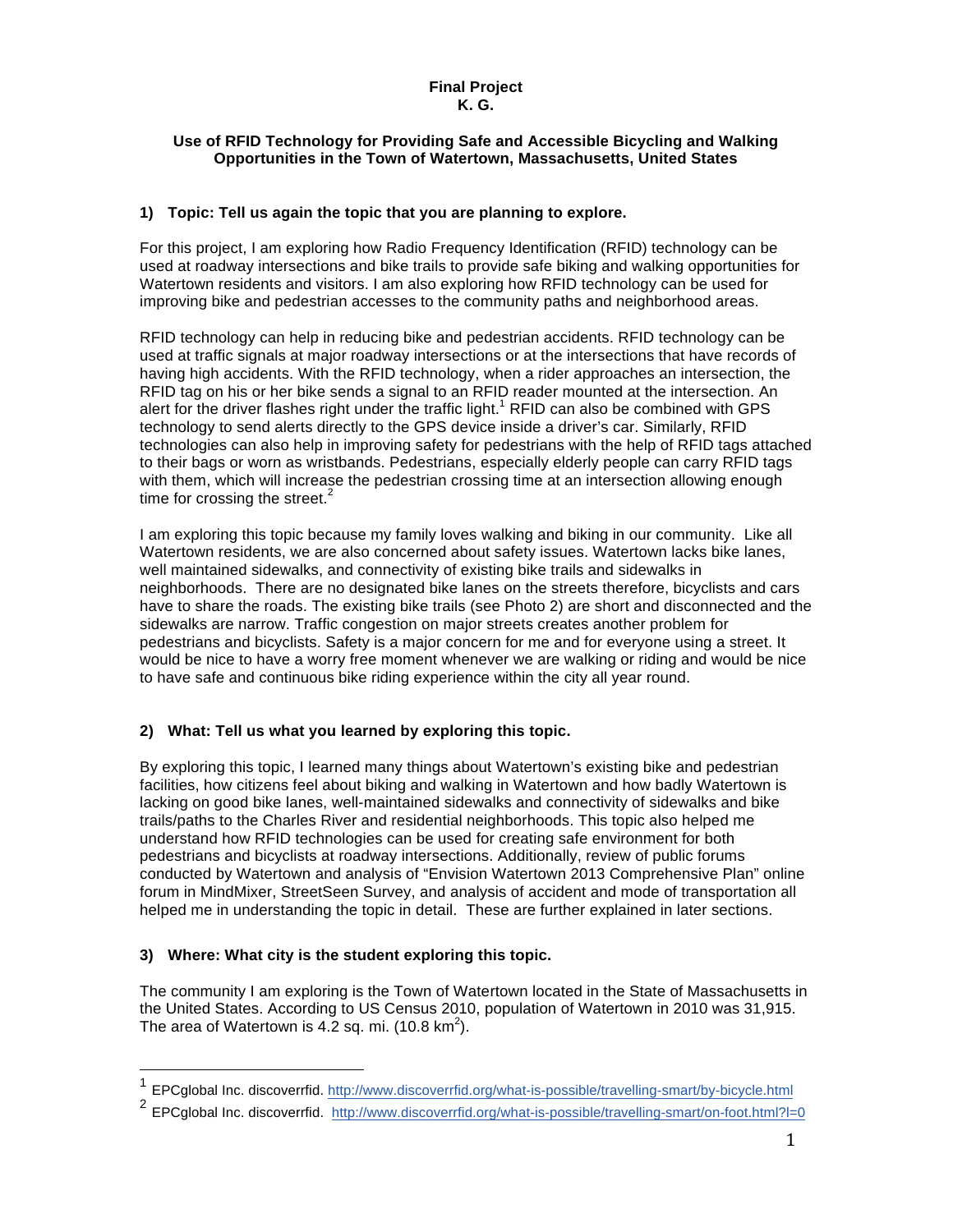# **Use of RFID Technology for Providing Safe and Accessible Bicycling and Walking Opportunities in the Town of Watertown, Massachusetts, United States**

# **1) Topic: Tell us again the topic that you are planning to explore.**

For this project, I am exploring how Radio Frequency Identification (RFID) technology can be used at roadway intersections and bike trails to provide safe biking and walking opportunities for Watertown residents and visitors. I am also exploring how RFID technology can be used for improving bike and pedestrian accesses to the community paths and neighborhood areas.

RFID technology can help in reducing bike and pedestrian accidents. RFID technology can be used at traffic signals at major roadway intersections or at the intersections that have records of having high accidents. With the RFID technology, when a rider approaches an intersection, the RFID tag on his or her bike sends a signal to an RFID reader mounted at the intersection. An alert for the driver flashes right under the traffic light.<sup>1</sup> RFID can also be combined with GPS technology to send alerts directly to the GPS device inside a driver's car. Similarly, RFID technologies can also help in improving safety for pedestrians with the help of RFID tags attached to their bags or worn as wristbands. Pedestrians, especially elderly people can carry RFID tags with them, which will increase the pedestrian crossing time at an intersection allowing enough time for crossing the street. $2$ 

I am exploring this topic because my family loves walking and biking in our community. Like all Watertown residents, we are also concerned about safety issues. Watertown lacks bike lanes, well maintained sidewalks, and connectivity of existing bike trails and sidewalks in neighborhoods. There are no designated bike lanes on the streets therefore, bicyclists and cars have to share the roads. The existing bike trails (see Photo 2) are short and disconnected and the sidewalks are narrow. Traffic congestion on major streets creates another problem for pedestrians and bicyclists. Safety is a major concern for me and for everyone using a street. It would be nice to have a worry free moment whenever we are walking or riding and would be nice to have safe and continuous bike riding experience within the city all year round.

# **2) What: Tell us what you learned by exploring this topic.**

By exploring this topic, I learned many things about Watertown's existing bike and pedestrian facilities, how citizens feel about biking and walking in Watertown and how badly Watertown is lacking on good bike lanes, well-maintained sidewalks and connectivity of sidewalks and bike trails/paths to the Charles River and residential neighborhoods. This topic also helped me understand how RFID technologies can be used for creating safe environment for both pedestrians and bicyclists at roadway intersections. Additionally, review of public forums conducted by Watertown and analysis of "Envision Watertown 2013 Comprehensive Plan" online forum in MindMixer, StreetSeen Survey, and analysis of accident and mode of transportation all helped me in understanding the topic in detail. These are further explained in later sections.

# **3) Where: What city is the student exploring this topic.**

The community I am exploring is the Town of Watertown located in the State of Massachusetts in the United States. According to US Census 2010, population of Watertown in 2010 was 31,915. The area of Watertown is 4.2 sq. mi. (10.8  $km^2$ ).

<sup>1</sup> EPCglobal Inc. discoverrfid. http://www.discoverrfid.org/what-is-possible/travelling-smart/by-bicycle.html

<sup>2</sup> EPCglobal Inc. discoverrfid. http://www.discoverrfid.org/what-is-possible/travelling-smart/on-foot.html?l=0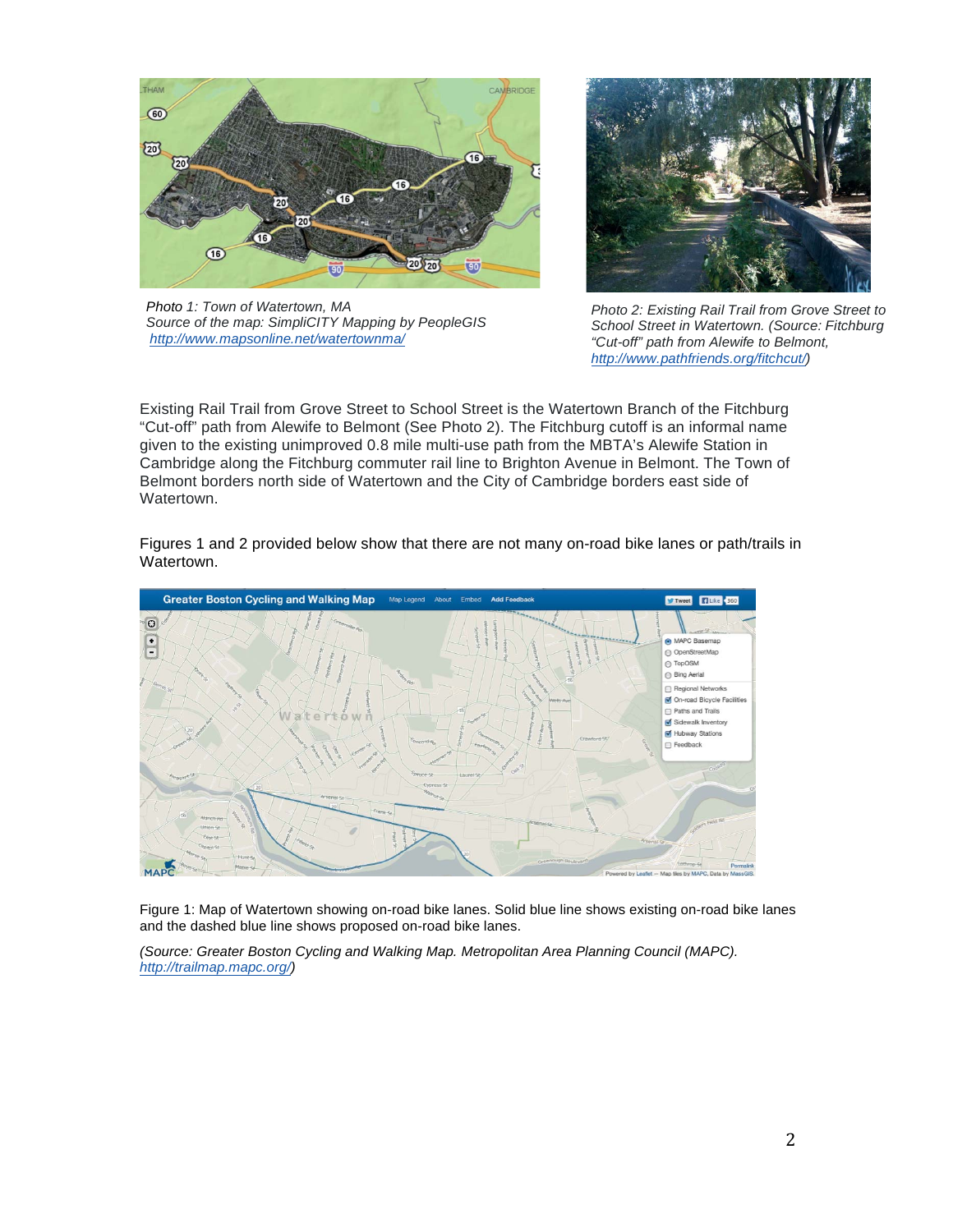

*Photo 1: Town of Watertown, MA Source of the map: SimpliCITY Mapping by PeopleGIS http://www.mapsonline.net/watertownma/*



*Photo 2: Existing Rail Trail from Grove Street to School Street in Watertown. (Source: Fitchburg "Cut-off" path from Alewife to Belmont, http://www.pathfriends.org/fitchcut/)*

Existing Rail Trail from Grove Street to School Street is the Watertown Branch of the Fitchburg "Cut-off" path from Alewife to Belmont (See Photo 2). The Fitchburg cutoff is an informal name given to the existing unimproved 0.8 mile multi-use path from the MBTA's Alewife Station in Cambridge along the Fitchburg commuter rail line to Brighton Avenue in Belmont. The Town of Belmont borders north side of Watertown and the City of Cambridge borders east side of Watertown.

Figures 1 and 2 provided below show that there are not many on-road bike lanes or path/trails in Watertown.



Figure 1: Map of Watertown showing on-road bike lanes. Solid blue line shows existing on-road bike lanes and the dashed blue line shows proposed on-road bike lanes.

*(Source: Greater Boston Cycling and Walking Map. Metropolitan Area Planning Council (MAPC). http://trailmap.mapc.org/)*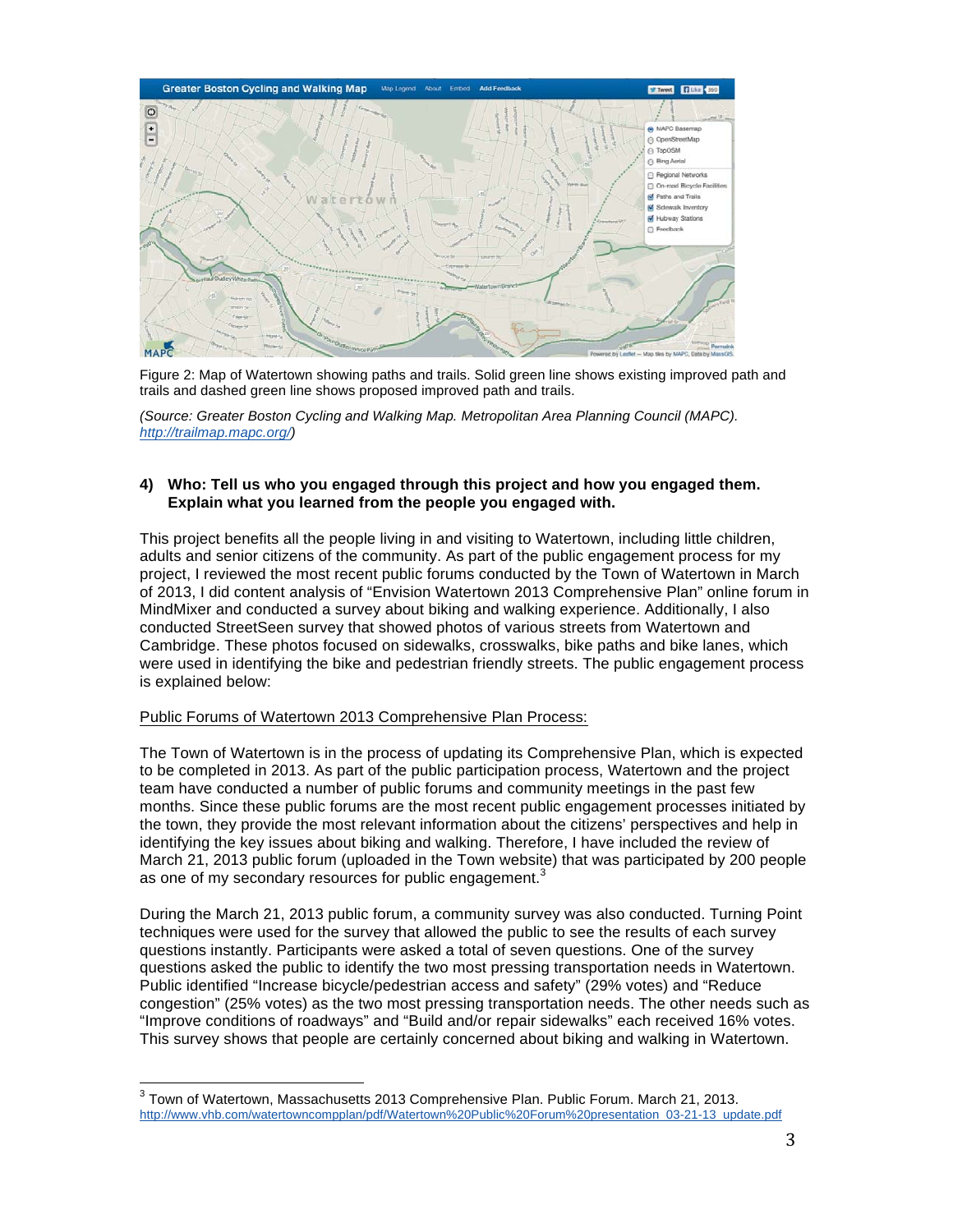

Figure 2: Map of Watertown showing paths and trails. Solid green line shows existing improved path and trails and dashed green line shows proposed improved path and trails.

*(Source: Greater Boston Cycling and Walking Map. Metropolitan Area Planning Council (MAPC). http://trailmap.mapc.org/)* 

### **4) Who: Tell us who you engaged through this project and how you engaged them. Explain what you learned from the people you engaged with.**

This project benefits all the people living in and visiting to Watertown, including little children, adults and senior citizens of the community. As part of the public engagement process for my project, I reviewed the most recent public forums conducted by the Town of Watertown in March of 2013, I did content analysis of "Envision Watertown 2013 Comprehensive Plan" online forum in MindMixer and conducted a survey about biking and walking experience. Additionally, I also conducted StreetSeen survey that showed photos of various streets from Watertown and Cambridge. These photos focused on sidewalks, crosswalks, bike paths and bike lanes, which were used in identifying the bike and pedestrian friendly streets. The public engagement process is explained below:

### Public Forums of Watertown 2013 Comprehensive Plan Process:

The Town of Watertown is in the process of updating its Comprehensive Plan, which is expected to be completed in 2013. As part of the public participation process, Watertown and the project team have conducted a number of public forums and community meetings in the past few months. Since these public forums are the most recent public engagement processes initiated by the town, they provide the most relevant information about the citizens' perspectives and help in identifying the key issues about biking and walking. Therefore, I have included the review of March 21, 2013 public forum (uploaded in the Town website) that was participated by 200 people as one of my secondary resources for public engagement. $3$ 

During the March 21, 2013 public forum, a community survey was also conducted. Turning Point techniques were used for the survey that allowed the public to see the results of each survey questions instantly. Participants were asked a total of seven questions. One of the survey questions asked the public to identify the two most pressing transportation needs in Watertown. Public identified "Increase bicycle/pedestrian access and safety" (29% votes) and "Reduce congestion" (25% votes) as the two most pressing transportation needs. The other needs such as "Improve conditions of roadways" and "Build and/or repair sidewalks" each received 16% votes. This survey shows that people are certainly concerned about biking and walking in Watertown.

 $3$  Town of Watertown, Massachusetts 2013 Comprehensive Plan. Public Forum. March 21, 2013. http://www.vhb.com/watertowncompplan/pdf/Watertown%20Public%20Forum%20presentation\_03-21-13\_update.pdf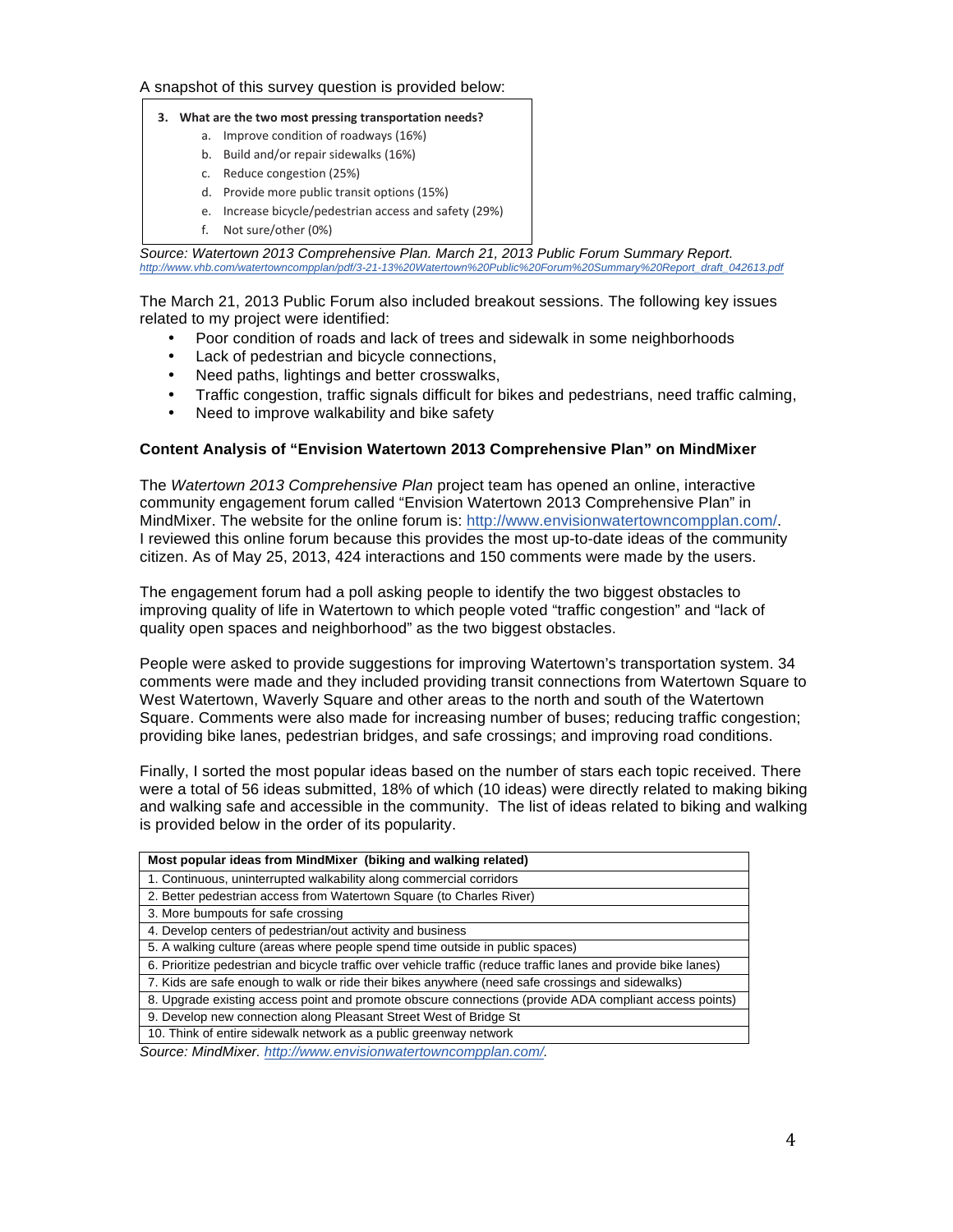### A snapshot of this survey question is provided below:

#### 3. What are the two most pressing transportation needs?

- a. Improve condition of roadways (16%)
- b. Build and/or repair sidewalks (16%)
- c. Reduce congestion (25%)
- d. Provide more public transit options (15%)
- e. Increase bicycle/pedestrian access and safety (29%)
- f. Not sure/other (0%)

*Source: Watertown 2013 Comprehensive Plan. March 21, 2013 Public Forum Summary Report. http://www.vhb.com/watertowncompplan/pdf/3-21-13%20Watertown%20Public%20Forum%20Summary%20Report\_draft\_042613.pdf*

The March 21, 2013 Public Forum also included breakout sessions. The following key issues related to my project were identified:

- Poor condition of roads and lack of trees and sidewalk in some neighborhoods
- Lack of pedestrian and bicycle connections,
- Need paths, lightings and better crosswalks,
- Traffic congestion, traffic signals difficult for bikes and pedestrians, need traffic calming,
- Need to improve walkability and bike safety

### **Content Analysis of "Envision Watertown 2013 Comprehensive Plan" on MindMixer**

The *Watertown 2013 Comprehensive Plan* project team has opened an online, interactive community engagement forum called "Envision Watertown 2013 Comprehensive Plan" in MindMixer. The website for the online forum is: http://www.envisionwatertowncompplan.com/. I reviewed this online forum because this provides the most up-to-date ideas of the community citizen. As of May 25, 2013, 424 interactions and 150 comments were made by the users.

The engagement forum had a poll asking people to identify the two biggest obstacles to improving quality of life in Watertown to which people voted "traffic congestion" and "lack of quality open spaces and neighborhood" as the two biggest obstacles.

People were asked to provide suggestions for improving Watertown's transportation system. 34 comments were made and they included providing transit connections from Watertown Square to West Watertown, Waverly Square and other areas to the north and south of the Watertown Square. Comments were also made for increasing number of buses; reducing traffic congestion; providing bike lanes, pedestrian bridges, and safe crossings; and improving road conditions.

Finally, I sorted the most popular ideas based on the number of stars each topic received. There were a total of 56 ideas submitted, 18% of which (10 ideas) were directly related to making biking and walking safe and accessible in the community. The list of ideas related to biking and walking is provided below in the order of its popularity.

| Most popular ideas from MindMixer (biking and walking related)                                                  |
|-----------------------------------------------------------------------------------------------------------------|
| 1. Continuous, uninterrupted walkability along commercial corridors                                             |
| 2. Better pedestrian access from Watertown Square (to Charles River)                                            |
| 3. More bumpouts for safe crossing                                                                              |
| 4. Develop centers of pedestrian/out activity and business                                                      |
| 5. A walking culture (areas where people spend time outside in public spaces)                                   |
| 6. Prioritize pedestrian and bicycle traffic over vehicle traffic (reduce traffic lanes and provide bike lanes) |
| 7. Kids are safe enough to walk or ride their bikes anywhere (need safe crossings and sidewalks)                |
| 8. Upgrade existing access point and promote obscure connections (provide ADA compliant access points)          |
| 9. Develop new connection along Pleasant Street West of Bridge St                                               |
| 10. Think of entire sidewalk network as a public greenway network                                               |
| Source: MindMiver http://www.opyigionwatertownoompplan.com/                                                     |

*Source: MindMixer. http://www.envisionwatertowncompplan.com/.*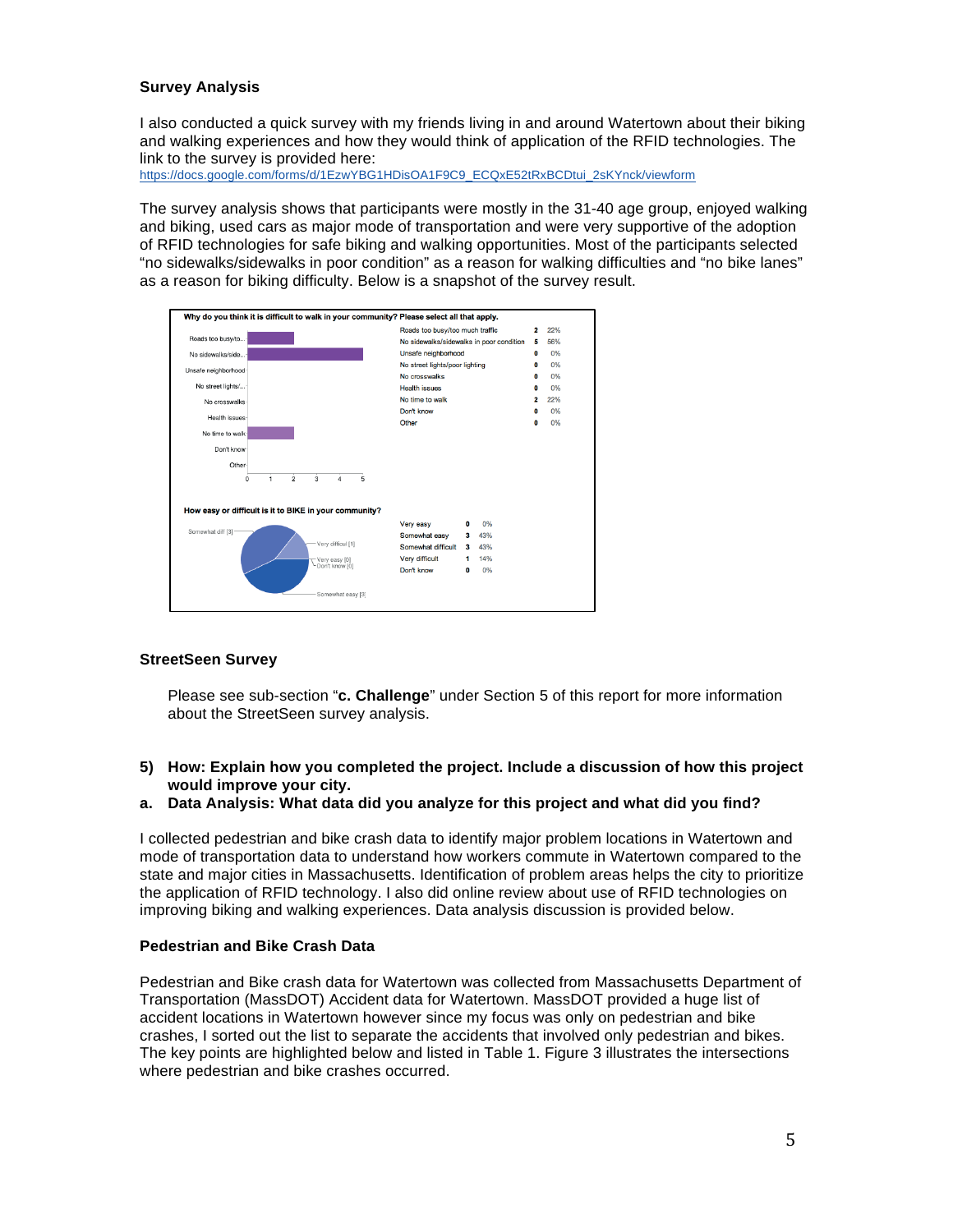### **Survey Analysis**

I also conducted a quick survey with my friends living in and around Watertown about their biking and walking experiences and how they would think of application of the RFID technologies. The link to the survey is provided here:

https://docs.google.com/forms/d/1EzwYBG1HDisOA1F9C9\_ECQxE52tRxBCDtui\_2sKYnck/viewform

The survey analysis shows that participants were mostly in the 31-40 age group, enjoyed walking and biking, used cars as major mode of transportation and were very supportive of the adoption of RFID technologies for safe biking and walking opportunities. Most of the participants selected "no sidewalks/sidewalks in poor condition" as a reason for walking difficulties and "no bike lanes" as a reason for biking difficulty. Below is a snapshot of the survey result.



### **StreetSeen Survey**

Please see sub-section "**c. Challenge**" under Section 5 of this report for more information about the StreetSeen survey analysis.

### **5) How: Explain how you completed the project. Include a discussion of how this project would improve your city.**

#### **a. Data Analysis: What data did you analyze for this project and what did you find?**

I collected pedestrian and bike crash data to identify major problem locations in Watertown and mode of transportation data to understand how workers commute in Watertown compared to the state and major cities in Massachusetts. Identification of problem areas helps the city to prioritize the application of RFID technology. I also did online review about use of RFID technologies on improving biking and walking experiences. Data analysis discussion is provided below.

### **Pedestrian and Bike Crash Data**

Pedestrian and Bike crash data for Watertown was collected from Massachusetts Department of Transportation (MassDOT) Accident data for Watertown. MassDOT provided a huge list of accident locations in Watertown however since my focus was only on pedestrian and bike crashes, I sorted out the list to separate the accidents that involved only pedestrian and bikes. The key points are highlighted below and listed in Table 1. Figure 3 illustrates the intersections where pedestrian and bike crashes occurred.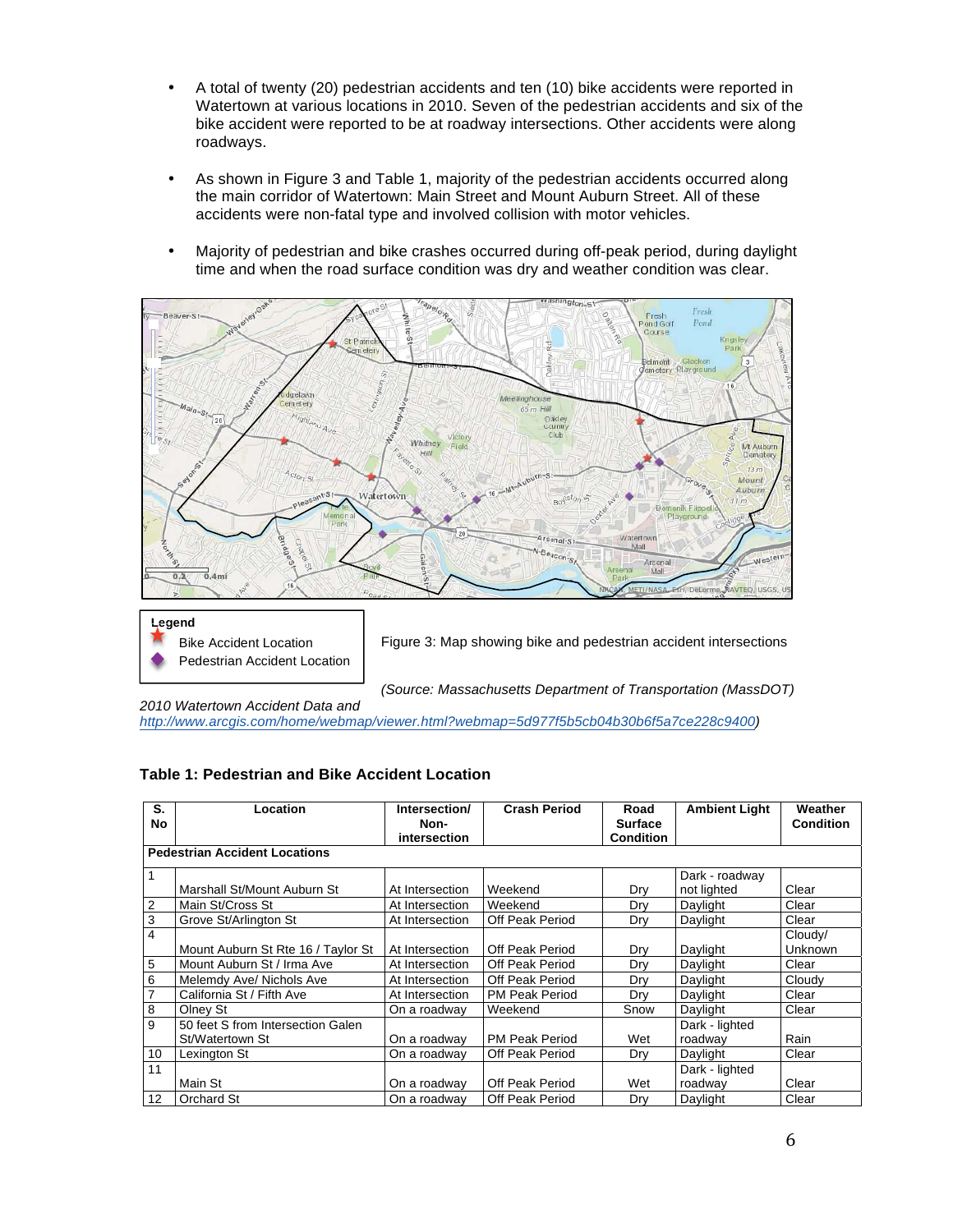- A total of twenty (20) pedestrian accidents and ten (10) bike accidents were reported in Watertown at various locations in 2010. Seven of the pedestrian accidents and six of the bike accident were reported to be at roadway intersections. Other accidents were along roadways.
- As shown in Figure 3 and Table 1, majority of the pedestrian accidents occurred along the main corridor of Watertown: Main Street and Mount Auburn Street. All of these accidents were non-fatal type and involved collision with motor vehicles.
- Majority of pedestrian and bike crashes occurred during off-peak period, during daylight time and when the road surface condition was dry and weather condition was clear.



Bike Accident Location Pedestrian Accident Location

Figure 3: Map showing bike and pedestrian accident intersections

*(Source: Massachusetts Department of Transportation (MassDOT)* 

*2010 Watertown Accident Data and* 

*http://www.arcgis.com/home/webmap/viewer.html?webmap=5d977f5b5cb04b30b6f5a7ce228c9400)* 

|  | Table 1: Pedestrian and Bike Accident Location |  |  |  |
|--|------------------------------------------------|--|--|--|
|--|------------------------------------------------|--|--|--|

| S.<br>No          | Location                             | Intersection/<br>Non- | <b>Crash Period</b>   | Road<br><b>Surface</b> | <b>Ambient Light</b> | Weather<br><b>Condition</b> |
|-------------------|--------------------------------------|-----------------------|-----------------------|------------------------|----------------------|-----------------------------|
|                   |                                      | intersection          |                       | <b>Condition</b>       |                      |                             |
|                   | <b>Pedestrian Accident Locations</b> |                       |                       |                        |                      |                             |
|                   |                                      |                       |                       |                        | Dark - roadway       |                             |
|                   | Marshall St/Mount Auburn St          | At Intersection       | Weekend               | Dry                    | not lighted          | Clear                       |
| 2                 | Main St/Cross St                     | At Intersection       | Weekend               | Dry                    | Daylight             | Clear                       |
| 3                 | Grove St/Arlington St                | At Intersection       | Off Peak Period       | Dry                    | Daylight             | Clear                       |
| $\overline{4}$    |                                      |                       |                       |                        |                      | Cloudy/                     |
|                   | Mount Auburn St Rte 16 / Taylor St   | At Intersection       | Off Peak Period       | Dry                    | Daylight             | Unknown                     |
| 5                 | Mount Auburn St / Irma Ave           | At Intersection       | Off Peak Period       | Drv                    | Daylight             | Clear                       |
| 6                 | Melemdy Ave/ Nichols Ave             | At Intersection       | Off Peak Period       | Drv                    | Daylight             | Cloudy                      |
| $\overline{7}$    | California St / Fifth Ave            | At Intersection       | <b>PM Peak Period</b> | Dry                    | Daylight             | Clear                       |
| 8                 | Olney St                             | On a roadway          | Weekend               | Snow                   | Daylight             | Clear                       |
| 9                 | 50 feet S from Intersection Galen    |                       |                       |                        | Dark - lighted       |                             |
|                   | St/Watertown St                      | On a roadway          | <b>PM Peak Period</b> | Wet                    | roadway              | Rain                        |
| 10                | Lexington St                         | On a roadway          | Off Peak Period       | Dry                    | Daylight             | Clear                       |
| 11                |                                      |                       |                       |                        | Dark - lighted       |                             |
|                   | Main St                              | On a roadway          | Off Peak Period       | Wet                    | roadway              | Clear                       |
| $12 \overline{ }$ | <b>Orchard St</b>                    | On a roadway          | Off Peak Period       | Dry                    | Daylight             | Clear                       |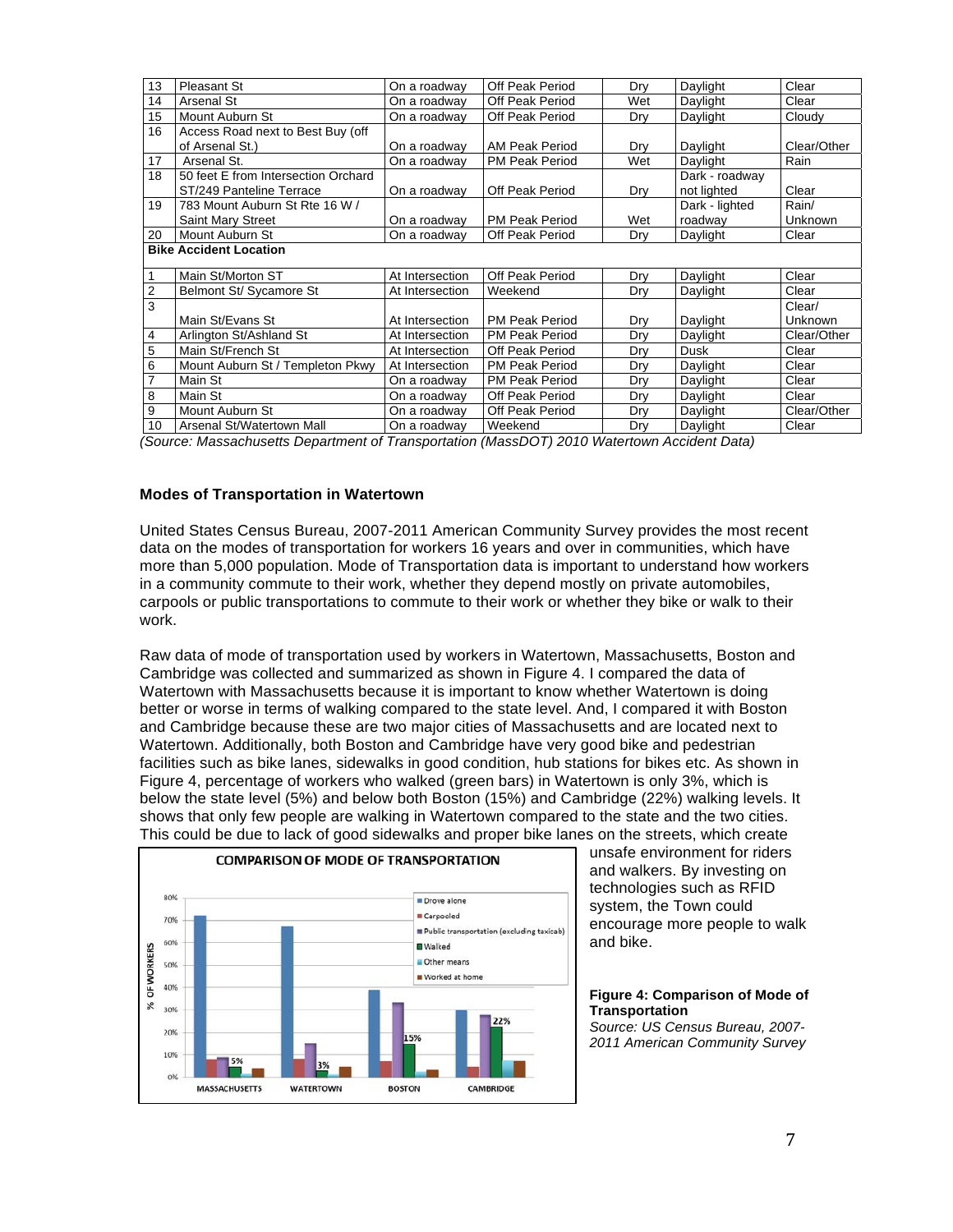| 13<br>Pleasant St<br>Off Peak Period<br>Dry<br>Daylight<br>Clear<br>On a roadway<br>Clear<br>14<br>Arsenal St<br>Off Peak Period<br>Wet<br>Daylight<br>On a roadway<br>15<br>Mount Auburn St<br>Off Peak Period<br>Dry<br>Cloudy<br>On a roadway<br>Daylight<br>16<br>Access Road next to Best Buy (off<br>of Arsenal St.)<br>Clear/Other<br>AM Peak Period<br>Dry<br>Daylight<br>On a roadway<br>17<br>Arsenal St.<br><b>PM Peak Period</b><br>Wet<br>Daylight<br>Rain<br>On a roadway<br>18<br>50 feet E from Intersection Orchard<br>Dark - roadway<br>ST/249 Panteline Terrace<br>Off Peak Period<br>not lighted<br>Clear<br>On a roadway<br>Dry<br>19<br>Dark - lighted<br>783 Mount Auburn St Rte 16 W /<br>Rain/ |
|-------------------------------------------------------------------------------------------------------------------------------------------------------------------------------------------------------------------------------------------------------------------------------------------------------------------------------------------------------------------------------------------------------------------------------------------------------------------------------------------------------------------------------------------------------------------------------------------------------------------------------------------------------------------------------------------------------------------------|
|                                                                                                                                                                                                                                                                                                                                                                                                                                                                                                                                                                                                                                                                                                                         |
|                                                                                                                                                                                                                                                                                                                                                                                                                                                                                                                                                                                                                                                                                                                         |
|                                                                                                                                                                                                                                                                                                                                                                                                                                                                                                                                                                                                                                                                                                                         |
|                                                                                                                                                                                                                                                                                                                                                                                                                                                                                                                                                                                                                                                                                                                         |
|                                                                                                                                                                                                                                                                                                                                                                                                                                                                                                                                                                                                                                                                                                                         |
|                                                                                                                                                                                                                                                                                                                                                                                                                                                                                                                                                                                                                                                                                                                         |
|                                                                                                                                                                                                                                                                                                                                                                                                                                                                                                                                                                                                                                                                                                                         |
|                                                                                                                                                                                                                                                                                                                                                                                                                                                                                                                                                                                                                                                                                                                         |
|                                                                                                                                                                                                                                                                                                                                                                                                                                                                                                                                                                                                                                                                                                                         |
| Wet<br>roadway<br><b>Saint Mary Street</b><br><b>PM Peak Period</b><br>Unknown<br>On a roadway                                                                                                                                                                                                                                                                                                                                                                                                                                                                                                                                                                                                                          |
| 20<br>Mount Auburn St<br>Off Peak Period<br>Clear<br>Dry<br>Daylight<br>On a roadway                                                                                                                                                                                                                                                                                                                                                                                                                                                                                                                                                                                                                                    |
| <b>Bike Accident Location</b>                                                                                                                                                                                                                                                                                                                                                                                                                                                                                                                                                                                                                                                                                           |
|                                                                                                                                                                                                                                                                                                                                                                                                                                                                                                                                                                                                                                                                                                                         |
| Off Peak Period<br>Main St/Morton ST<br>Daylight<br>Clear<br>At Intersection<br>Dry<br>1                                                                                                                                                                                                                                                                                                                                                                                                                                                                                                                                                                                                                                |
| $\overline{\mathbf{c}}$<br>Belmont St/ Sycamore St<br>Clear<br>Dry<br>Daylight<br>At Intersection<br>Weekend                                                                                                                                                                                                                                                                                                                                                                                                                                                                                                                                                                                                            |
| $\overline{3}$<br>Clear/                                                                                                                                                                                                                                                                                                                                                                                                                                                                                                                                                                                                                                                                                                |
| Main St/Evans St<br>Unknown<br>At Intersection<br><b>PM Peak Period</b><br>Dry<br>Daylight                                                                                                                                                                                                                                                                                                                                                                                                                                                                                                                                                                                                                              |
| $\overline{4}$<br>Arlington St/Ashland St<br><b>PM Peak Period</b><br>Drv<br>Daylight<br>Clear/Other<br>At Intersection                                                                                                                                                                                                                                                                                                                                                                                                                                                                                                                                                                                                 |
| 5<br>Main St/French St<br>Dusk<br>Clear<br>Off Peak Period<br>Dry<br>At Intersection                                                                                                                                                                                                                                                                                                                                                                                                                                                                                                                                                                                                                                    |
| 6<br>Mount Auburn St / Templeton Pkwy<br><b>PM Peak Period</b><br>Clear<br>At Intersection<br>Dry<br>Daylight                                                                                                                                                                                                                                                                                                                                                                                                                                                                                                                                                                                                           |
| $\overline{7}$<br>Main St<br><b>PM Peak Period</b><br>Daylight<br>Clear<br>Dry<br>On a roadway                                                                                                                                                                                                                                                                                                                                                                                                                                                                                                                                                                                                                          |
| 8<br>Main St<br>Clear<br>Off Peak Period<br>On a roadway<br>Dry<br>Daylight                                                                                                                                                                                                                                                                                                                                                                                                                                                                                                                                                                                                                                             |
| 9<br>Off Peak Period<br>Clear/Other<br>Mount Auburn St<br>On a roadway<br>Drv<br>Daylight                                                                                                                                                                                                                                                                                                                                                                                                                                                                                                                                                                                                                               |
| 10<br>Clear<br>Arsenal St/Watertown Mall<br>Weekend<br>On a roadway<br>Dry<br>Daylight                                                                                                                                                                                                                                                                                                                                                                                                                                                                                                                                                                                                                                  |

*(Source: Massachusetts Department of Transportation (MassDOT) 2010 Watertown Accident Data)* 

#### **Modes of Transportation in Watertown**

United States Census Bureau, 2007-2011 American Community Survey provides the most recent data on the modes of transportation for workers 16 years and over in communities, which have more than 5,000 population. Mode of Transportation data is important to understand how workers in a community commute to their work, whether they depend mostly on private automobiles, carpools or public transportations to commute to their work or whether they bike or walk to their work.

Raw data of mode of transportation used by workers in Watertown, Massachusetts, Boston and Cambridge was collected and summarized as shown in Figure 4. I compared the data of Watertown with Massachusetts because it is important to know whether Watertown is doing better or worse in terms of walking compared to the state level. And, I compared it with Boston and Cambridge because these are two major cities of Massachusetts and are located next to Watertown. Additionally, both Boston and Cambridge have very good bike and pedestrian facilities such as bike lanes, sidewalks in good condition, hub stations for bikes etc. As shown in Figure 4, percentage of workers who walked (green bars) in Watertown is only 3%, which is below the state level (5%) and below both Boston (15%) and Cambridge (22%) walking levels. It shows that only few people are walking in Watertown compared to the state and the two cities. This could be due to lack of good sidewalks and proper bike lanes on the streets, which create



unsafe environment for riders and walkers. By investing on technologies such as RFID system, the Town could encourage more people to walk and bike.

#### **Figure 4: Comparison of Mode of Transportation**

*Source: US Census Bureau, 2007- 2011 American Community Survey*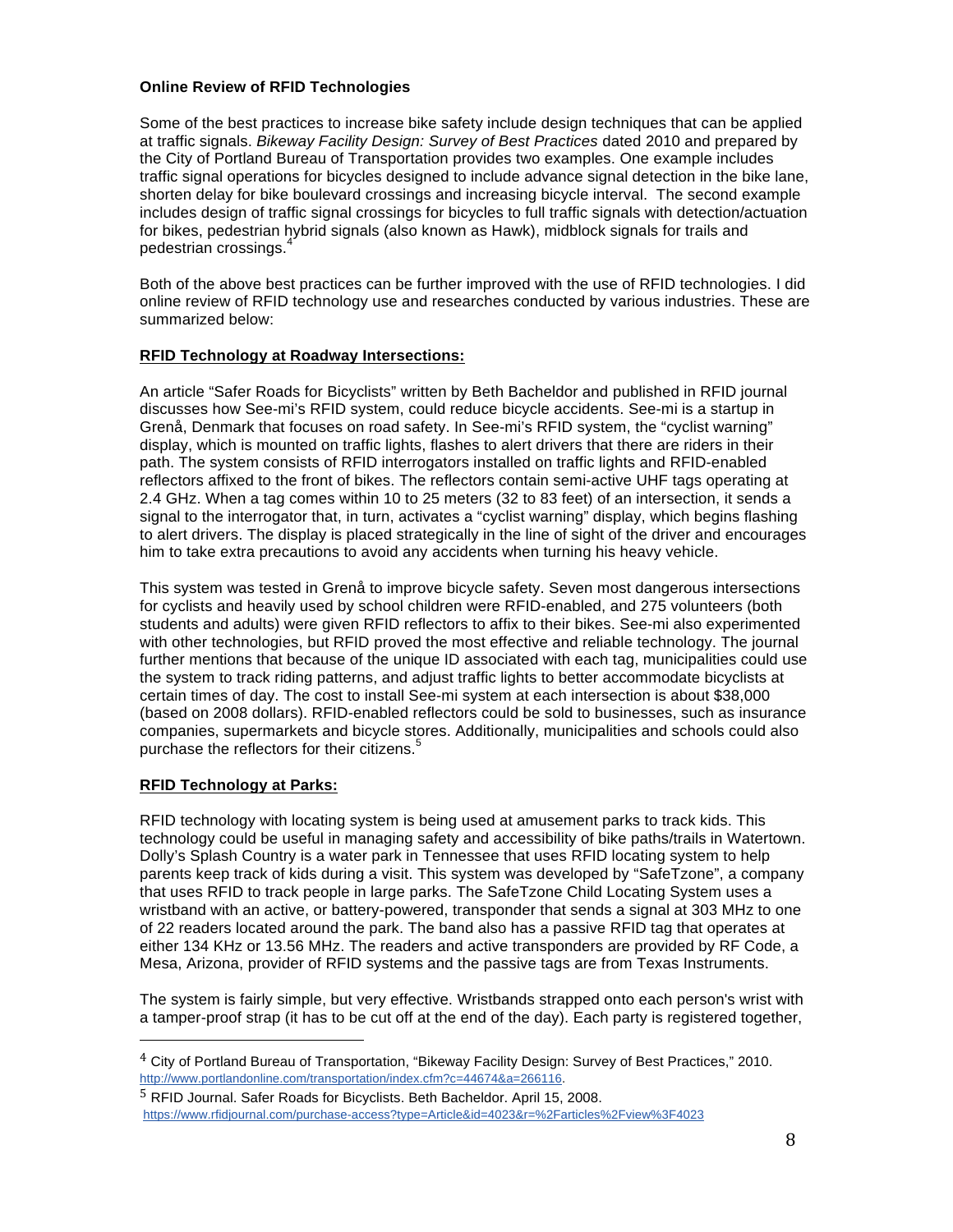### **Online Review of RFID Technologies**

Some of the best practices to increase bike safety include design techniques that can be applied at traffic signals. *Bikeway Facility Design: Survey of Best Practices* dated 2010 and prepared by the City of Portland Bureau of Transportation provides two examples. One example includes traffic signal operations for bicycles designed to include advance signal detection in the bike lane, shorten delay for bike boulevard crossings and increasing bicycle interval. The second example includes design of traffic signal crossings for bicycles to full traffic signals with detection/actuation for bikes, pedestrian hybrid signals (also known as Hawk), midblock signals for trails and pedestrian crossings.<sup>4</sup>

Both of the above best practices can be further improved with the use of RFID technologies. I did online review of RFID technology use and researches conducted by various industries. These are summarized below:

# **RFID Technology at Roadway Intersections:**

An article "Safer Roads for Bicyclists" written by Beth Bacheldor and published in RFID journal discusses how See-mi's RFID system, could reduce bicycle accidents. See-mi is a startup in Grenå, Denmark that focuses on road safety. In See-mi's RFID system, the "cyclist warning" display, which is mounted on traffic lights, flashes to alert drivers that there are riders in their path. The system consists of RFID interrogators installed on traffic lights and RFID-enabled reflectors affixed to the front of bikes. The reflectors contain semi-active UHF tags operating at 2.4 GHz. When a tag comes within 10 to 25 meters (32 to 83 feet) of an intersection, it sends a signal to the interrogator that, in turn, activates a "cyclist warning" display, which begins flashing to alert drivers. The display is placed strategically in the line of sight of the driver and encourages him to take extra precautions to avoid any accidents when turning his heavy vehicle.

This system was tested in Grenå to improve bicycle safety. Seven most dangerous intersections for cyclists and heavily used by school children were RFID-enabled, and 275 volunteers (both students and adults) were given RFID reflectors to affix to their bikes. See-mi also experimented with other technologies, but RFID proved the most effective and reliable technology. The journal further mentions that because of the unique ID associated with each tag, municipalities could use the system to track riding patterns, and adjust traffic lights to better accommodate bicyclists at certain times of day. The cost to install See-mi system at each intersection is about \$38,000 (based on 2008 dollars). RFID-enabled reflectors could be sold to businesses, such as insurance companies, supermarkets and bicycle stores. Additionally, municipalities and schools could also purchase the reflectors for their citizens.<sup>5</sup>

# **RFID Technology at Parks:**

RFID technology with locating system is being used at amusement parks to track kids. This technology could be useful in managing safety and accessibility of bike paths/trails in Watertown. Dolly's Splash Country is a water park in Tennessee that uses RFID locating system to help parents keep track of kids during a visit. This system was developed by "SafeTzone", a company that uses RFID to track people in large parks. The SafeTzone Child Locating System uses a wristband with an active, or battery-powered, transponder that sends a signal at 303 MHz to one of 22 readers located around the park. The band also has a passive RFID tag that operates at either 134 KHz or 13.56 MHz. The readers and active transponders are provided by RF Code, a Mesa, Arizona, provider of RFID systems and the passive tags are from Texas Instruments.

The system is fairly simple, but very effective. Wristbands strapped onto each person's wrist with a tamper-proof strap (it has to be cut off at the end of the day). Each party is registered together,

<sup>&</sup>lt;sup>4</sup> City of Portland Bureau of Transportation, "Bikeway Facility Design: Survey of Best Practices," 2010. http://www.portlandonline.com/transportation/index.cfm?c=44674&a=266116.

<sup>&</sup>lt;sup>5</sup> RFID Journal. Safer Roads for Bicyclists. Beth Bacheldor. April 15, 2008. https://www.rfidjournal.com/purchase-access?type=Article&id=4023&r=%2Farticles%2Fview%3F4023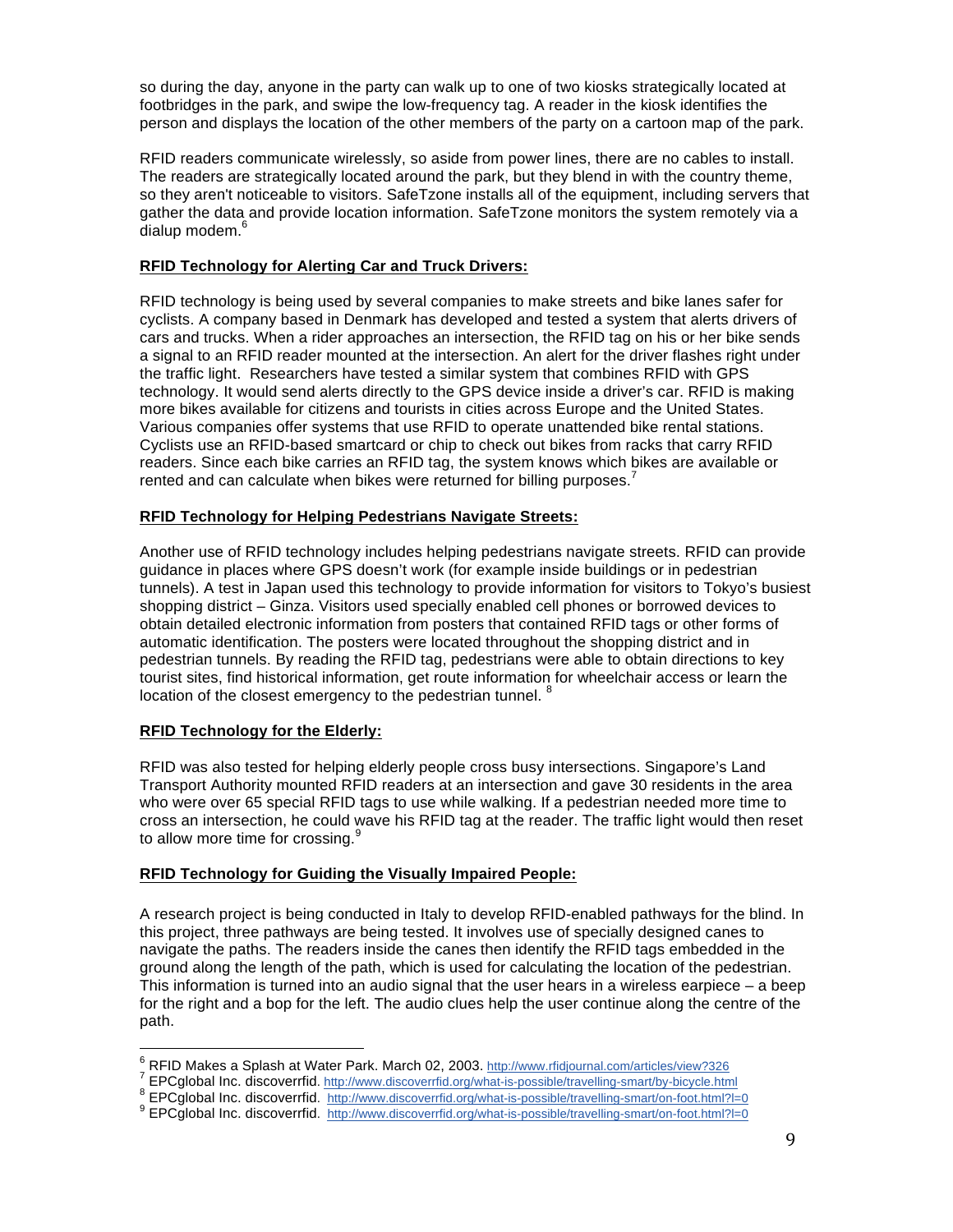so during the day, anyone in the party can walk up to one of two kiosks strategically located at footbridges in the park, and swipe the low-frequency tag. A reader in the kiosk identifies the person and displays the location of the other members of the party on a cartoon map of the park.

RFID readers communicate wirelessly, so aside from power lines, there are no cables to install. The readers are strategically located around the park, but they blend in with the country theme, so they aren't noticeable to visitors. SafeTzone installs all of the equipment, including servers that gather the data and provide location information. SafeTzone monitors the system remotely via a dialup modem.<sup>6</sup>

### **RFID Technology for Alerting Car and Truck Drivers:**

RFID technology is being used by several companies to make streets and bike lanes safer for cyclists. A company based in Denmark has developed and tested a system that alerts drivers of cars and trucks. When a rider approaches an intersection, the RFID tag on his or her bike sends a signal to an RFID reader mounted at the intersection. An alert for the driver flashes right under the traffic light. Researchers have tested a similar system that combines RFID with GPS technology. It would send alerts directly to the GPS device inside a driver's car. RFID is making more bikes available for citizens and tourists in cities across Europe and the United States. Various companies offer systems that use RFID to operate unattended bike rental stations. Cyclists use an RFID-based smartcard or chip to check out bikes from racks that carry RFID readers. Since each bike carries an RFID tag, the system knows which bikes are available or rented and can calculate when bikes were returned for billing purposes.

### **RFID Technology for Helping Pedestrians Navigate Streets:**

Another use of RFID technology includes helping pedestrians navigate streets. RFID can provide guidance in places where GPS doesn't work (for example inside buildings or in pedestrian tunnels). A test in Japan used this technology to provide information for visitors to Tokyo's busiest shopping district – Ginza. Visitors used specially enabled cell phones or borrowed devices to obtain detailed electronic information from posters that contained RFID tags or other forms of automatic identification. The posters were located throughout the shopping district and in pedestrian tunnels. By reading the RFID tag, pedestrians were able to obtain directions to key tourist sites, find historical information, get route information for wheelchair access or learn the location of the closest emergency to the pedestrian tunnel.<sup>8</sup>

### **RFID Technology for the Elderly:**

RFID was also tested for helping elderly people cross busy intersections. Singapore's Land Transport Authority mounted RFID readers at an intersection and gave 30 residents in the area who were over 65 special RFID tags to use while walking. If a pedestrian needed more time to cross an intersection, he could wave his RFID tag at the reader. The traffic light would then reset to allow more time for crossing.<sup>9</sup>

### **RFID Technology for Guiding the Visually Impaired People:**

A research project is being conducted in Italy to develop RFID-enabled pathways for the blind. In this project, three pathways are being tested. It involves use of specially designed canes to navigate the paths. The readers inside the canes then identify the RFID tags embedded in the ground along the length of the path, which is used for calculating the location of the pedestrian. This information is turned into an audio signal that the user hears in a wireless earpiece – a beep for the right and a bop for the left. The audio clues help the user continue along the centre of the path.

e<br><sup>6</sup> RFID Makes a Splash at Water Park. March 02, 2003. <u>http://www.rfidjournal.com/articles/view?326</u><br>7 EDCelebel Ipe disequential http://www.disequential.com/what.is.peopible/travelling.com/thy.big.yols.htm

The consideration of the contract of the contract of the contract of the contract of the contract of the contract of the contract of the contract of the contract of the contract of the contract of the contract of the contr

**EPCglobal Inc. discoverrfid.** http://www.discoverrfid.org/what-is-possible/travelling-smart/on-foot.html?l=0

<sup>&</sup>lt;sup>9</sup> EPCglobal Inc. discoverrfid. http://www.discoverrfid.org/what-is-possible/travelling-smart/on-foot.html?l=0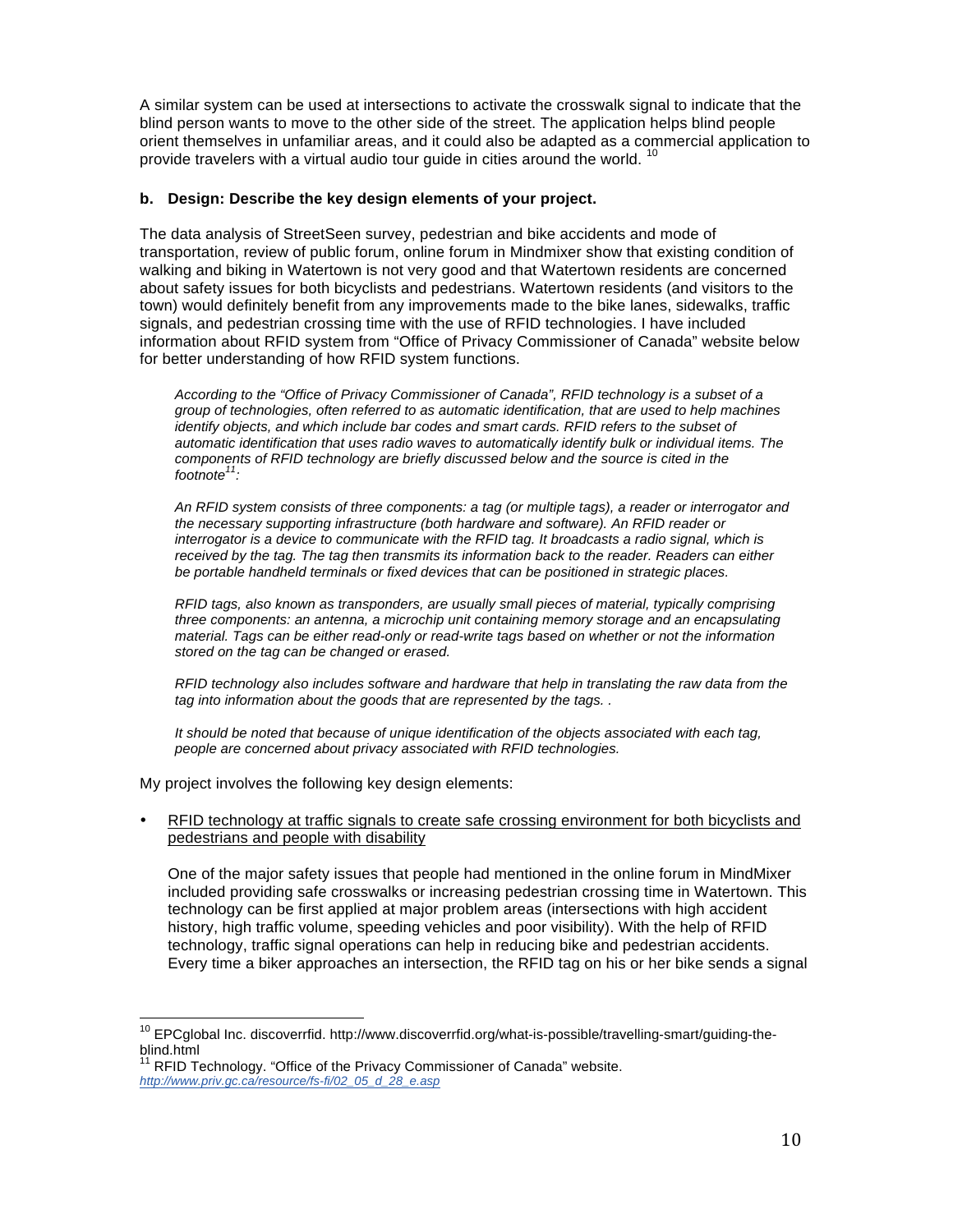A similar system can be used at intersections to activate the crosswalk signal to indicate that the blind person wants to move to the other side of the street. The application helps blind people orient themselves in unfamiliar areas, and it could also be adapted as a commercial application to provide travelers with a virtual audio tour guide in cities around the world.  $10$ 

### **b. Design: Describe the key design elements of your project.**

The data analysis of StreetSeen survey, pedestrian and bike accidents and mode of transportation, review of public forum, online forum in Mindmixer show that existing condition of walking and biking in Watertown is not very good and that Watertown residents are concerned about safety issues for both bicyclists and pedestrians. Watertown residents (and visitors to the town) would definitely benefit from any improvements made to the bike lanes, sidewalks, traffic signals, and pedestrian crossing time with the use of RFID technologies. I have included information about RFID system from "Office of Privacy Commissioner of Canada" website below for better understanding of how RFID system functions.

*According to the "Office of Privacy Commissioner of Canada", RFID technology is a subset of a group of technologies, often referred to as automatic identification, that are used to help machines identify objects, and which include bar codes and smart cards. RFID refers to the subset of automatic identification that uses radio waves to automatically identify bulk or individual items. The components of RFID technology are briefly discussed below and the source is cited in the footnote11:* 

*An RFID system consists of three components: a tag (or multiple tags), a reader or interrogator and the necessary supporting infrastructure (both hardware and software). An RFID reader or interrogator is a device to communicate with the RFID tag. It broadcasts a radio signal, which is received by the tag. The tag then transmits its information back to the reader. Readers can either be portable handheld terminals or fixed devices that can be positioned in strategic places.* 

*RFID tags, also known as transponders, are usually small pieces of material, typically comprising three components: an antenna, a microchip unit containing memory storage and an encapsulating material. Tags can be either read-only or read-write tags based on whether or not the information stored on the tag can be changed or erased.* 

*RFID technology also includes software and hardware that help in translating the raw data from the tag into information about the goods that are represented by the tags. .* 

*It should be noted that because of unique identification of the objects associated with each tag, people are concerned about privacy associated with RFID technologies.* 

My project involves the following key design elements:

• RFID technology at traffic signals to create safe crossing environment for both bicyclists and pedestrians and people with disability

One of the major safety issues that people had mentioned in the online forum in MindMixer included providing safe crosswalks or increasing pedestrian crossing time in Watertown. This technology can be first applied at major problem areas (intersections with high accident history, high traffic volume, speeding vehicles and poor visibility). With the help of RFID technology, traffic signal operations can help in reducing bike and pedestrian accidents. Every time a biker approaches an intersection, the RFID tag on his or her bike sends a signal

<sup>&</sup>lt;sup>10</sup> EPCglobal Inc. discoverrfid. http://www.discoverrfid.org/what-is-possible/travelling-smart/guiding-theblind.html

RFID Technology. "Office of the Privacy Commissioner of Canada" website. *http://www.priv.gc.ca/resource/fs-fi/02\_05\_d\_28\_e.asp*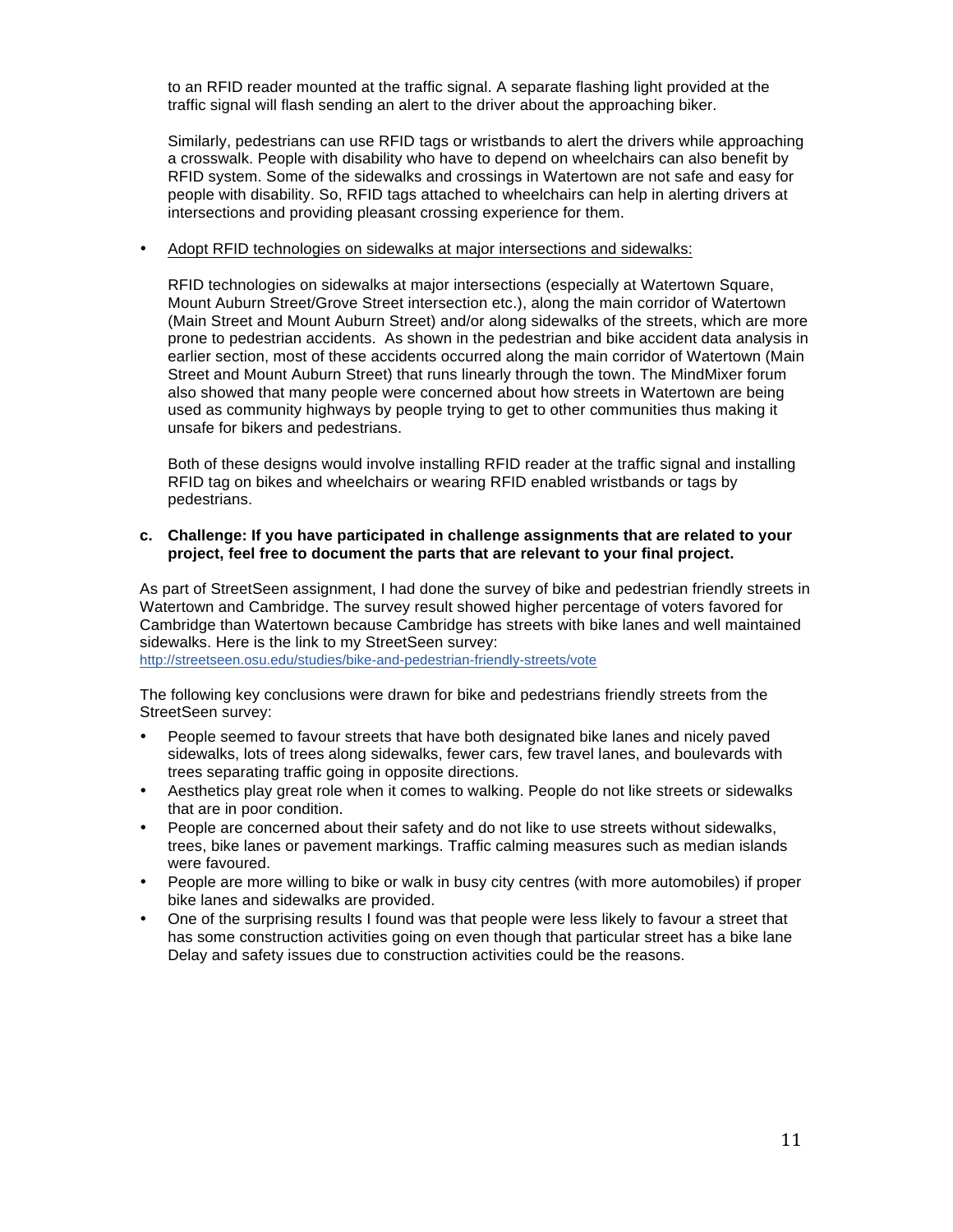to an RFID reader mounted at the traffic signal. A separate flashing light provided at the traffic signal will flash sending an alert to the driver about the approaching biker.

Similarly, pedestrians can use RFID tags or wristbands to alert the drivers while approaching a crosswalk. People with disability who have to depend on wheelchairs can also benefit by RFID system. Some of the sidewalks and crossings in Watertown are not safe and easy for people with disability. So, RFID tags attached to wheelchairs can help in alerting drivers at intersections and providing pleasant crossing experience for them.

#### • Adopt RFID technologies on sidewalks at major intersections and sidewalks:

RFID technologies on sidewalks at major intersections (especially at Watertown Square, Mount Auburn Street/Grove Street intersection etc.), along the main corridor of Watertown (Main Street and Mount Auburn Street) and/or along sidewalks of the streets, which are more prone to pedestrian accidents. As shown in the pedestrian and bike accident data analysis in earlier section, most of these accidents occurred along the main corridor of Watertown (Main Street and Mount Auburn Street) that runs linearly through the town. The MindMixer forum also showed that many people were concerned about how streets in Watertown are being used as community highways by people trying to get to other communities thus making it unsafe for bikers and pedestrians.

Both of these designs would involve installing RFID reader at the traffic signal and installing RFID tag on bikes and wheelchairs or wearing RFID enabled wristbands or tags by pedestrians.

#### **c. Challenge: If you have participated in challenge assignments that are related to your project, feel free to document the parts that are relevant to your final project.**

As part of StreetSeen assignment, I had done the survey of bike and pedestrian friendly streets in Watertown and Cambridge. The survey result showed higher percentage of voters favored for Cambridge than Watertown because Cambridge has streets with bike lanes and well maintained sidewalks. Here is the link to my StreetSeen survey:

http://streetseen.osu.edu/studies/bike-and-pedestrian-friendly-streets/vote

The following key conclusions were drawn for bike and pedestrians friendly streets from the StreetSeen survey:

- People seemed to favour streets that have both designated bike lanes and nicely paved sidewalks, lots of trees along sidewalks, fewer cars, few travel lanes, and boulevards with trees separating traffic going in opposite directions.
- Aesthetics play great role when it comes to walking. People do not like streets or sidewalks that are in poor condition.
- People are concerned about their safety and do not like to use streets without sidewalks, trees, bike lanes or pavement markings. Traffic calming measures such as median islands were favoured.
- People are more willing to bike or walk in busy city centres (with more automobiles) if proper bike lanes and sidewalks are provided.
- One of the surprising results I found was that people were less likely to favour a street that has some construction activities going on even though that particular street has a bike lane Delay and safety issues due to construction activities could be the reasons.